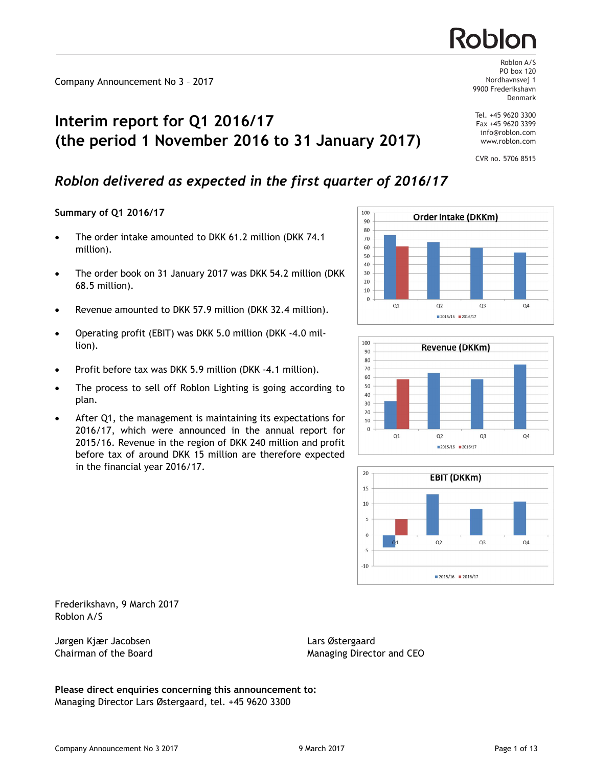# **Interim report for Q1 2016/17 (the period 1 November 2016 to 31 January 2017)**

# *Roblon delivered as expected in the first quarter of 2016/17*

## **Summary of Q1 2016/17**

- The order intake amounted to DKK 61.2 million (DKK 74.1) million).
- The order book on 31 January 2017 was DKK 54.2 million (DKK) 68.5 million).
- · Revenue amounted to DKK 57.9 million (DKK 32.4 million).
- · Operating profit (EBIT) was DKK 5.0 million (DKK -4.0 million).
- Profit before tax was DKK 5.9 million (DKK -4.1 million).
- · The process to sell off Roblon Lighting is going according to plan.
- After Q1, the management is maintaining its expectations for 2016/17, which were announced in the annual report for 2015/16. Revenue in the region of DKK 240 million and profit before tax of around DKK 15 million are therefore expected in the financial year 2016/17.

PO box 120 Nordhavnsvej 1 9900 Frederikshavn Denmark

Roblon A/S

Tel. +45 9620 3300 Fax +45 9620 3399 info@roblon.com www.roblon.com

CVR no. 5706 8515



**Order intake (DKKm)** 





Frederikshavn, 9 March 2017 Roblon A/S

Jørgen Kjær Jacobsen Lars Østergaard

Chairman of the Board Managing Director and CEO

100

**Please direct enquiries concerning this announcement to:** Managing Director Lars Østergaard, tel. +45 9620 3300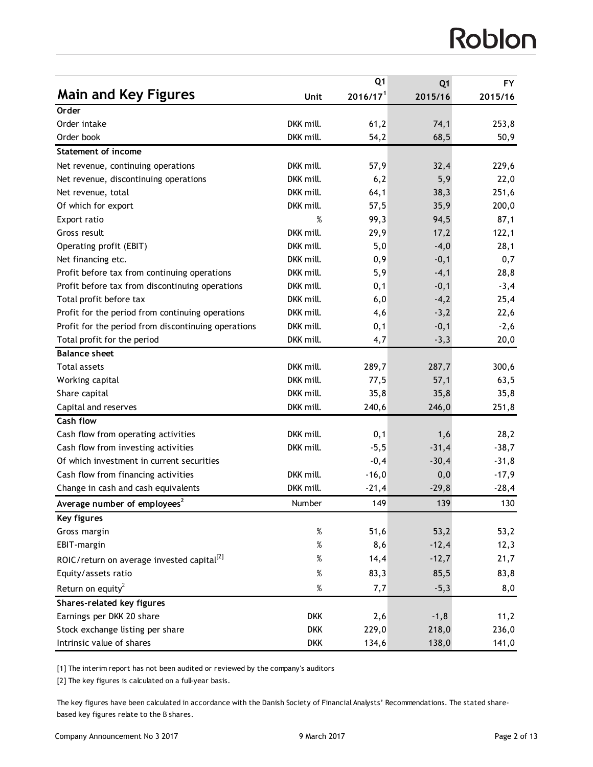# Roblon

|                                                        |            | Q <sub>1</sub>       | Q <sub>1</sub> | <b>FY</b> |
|--------------------------------------------------------|------------|----------------------|----------------|-----------|
| <b>Main and Key Figures</b>                            | Unit       | 2016/17 <sup>1</sup> | 2015/16        | 2015/16   |
| Order                                                  |            |                      |                |           |
| Order intake                                           | DKK mill.  | 61,2                 | 74,1           | 253,8     |
| Order book                                             | DKK mill.  | 54,2                 | 68,5           | 50,9      |
| <b>Statement of income</b>                             |            |                      |                |           |
| Net revenue, continuing operations                     | DKK mill.  | 57,9                 | 32,4           | 229,6     |
| Net revenue, discontinuing operations                  | DKK mill.  | 6,2                  | 5,9            | 22,0      |
| Net revenue, total                                     | DKK mill.  | 64,1                 | 38,3           | 251,6     |
| Of which for export                                    | DKK mill.  | 57,5                 | 35,9           | 200,0     |
| Export ratio                                           | %          | 99,3                 | 94,5           | 87,1      |
| Gross result                                           | DKK mill.  | 29,9                 | 17,2           | 122,1     |
| Operating profit (EBIT)                                | DKK mill.  | 5,0                  | $-4,0$         | 28,1      |
| Net financing etc.                                     | DKK mill.  | 0,9                  | $-0,1$         | 0,7       |
| Profit before tax from continuing operations           | DKK mill.  | 5,9                  | $-4,1$         | 28,8      |
| Profit before tax from discontinuing operations        | DKK mill.  | 0,1                  | $-0,1$         | $-3,4$    |
| Total profit before tax                                | DKK mill.  | 6,0                  | $-4,2$         | 25,4      |
| Profit for the period from continuing operations       | DKK mill.  | 4,6                  | $-3,2$         | 22,6      |
| Profit for the period from discontinuing operations    | DKK mill.  | 0,1                  | $-0,1$         | $-2,6$    |
| Total profit for the period                            | DKK mill.  | 4,7                  | $-3,3$         | 20,0      |
| <b>Balance sheet</b>                                   |            |                      |                |           |
| <b>Total assets</b>                                    | DKK mill.  | 289,7                | 287,7          | 300,6     |
| Working capital                                        | DKK mill.  | 77,5                 | 57,1           | 63,5      |
| Share capital                                          | DKK mill.  | 35,8                 | 35,8           | 35,8      |
| Capital and reserves                                   | DKK mill.  | 240,6                | 246,0          | 251,8     |
| <b>Cash flow</b>                                       |            |                      |                |           |
| Cash flow from operating activities                    | DKK mill.  | 0,1                  | 1,6            | 28,2      |
| Cash flow from investing activities                    | DKK mill.  | $-5,5$               | $-31,4$        | $-38,7$   |
| Of which investment in current securities              |            | $-0,4$               | $-30,4$        | $-31,8$   |
| Cash flow from financing activities                    | DKK mill.  | $-16,0$              | 0,0            | $-17,9$   |
| Change in cash and cash equivalents                    | DKK mill.  | $-21,4$              | $-29,8$        | $-28,4$   |
| Average number of employees <sup>2</sup>               | Number     | 149                  | 139            | 130       |
| Key figures                                            |            |                      |                |           |
| Gross margin                                           | $\%$       | 51,6                 | 53,2           | 53,2      |
| EBIT-margin                                            | $\%$       | 8,6                  | $-12,4$        | 12,3      |
| ROIC/return on average invested capital <sup>[2]</sup> | $\%$       | 14,4                 | $-12,7$        | 21,7      |
| Equity/assets ratio                                    | $\%$       | 83,3                 | 85,5           | 83,8      |
| Return on equity <sup>2</sup>                          | $\%$       | 7,7                  | $-5,3$         | 8,0       |
| <b>Shares-related key figures</b>                      |            |                      |                |           |
| Earnings per DKK 20 share                              | <b>DKK</b> | 2,6                  | $-1, 8$        | 11,2      |
| Stock exchange listing per share                       | <b>DKK</b> | 229,0                | 218,0          | 236,0     |
| Intrinsic value of shares                              | <b>DKK</b> | 134,6                | 138,0          | 141,0     |

[1] The interim report has not been audited or reviewed by the company's auditors

[2] The key figures is calculated on a full-year basis.

The key figures have been calculated in accordance with the Danish Society of Financial Analysts' Recommendations. The stated sharebased key figures relate to the B shares.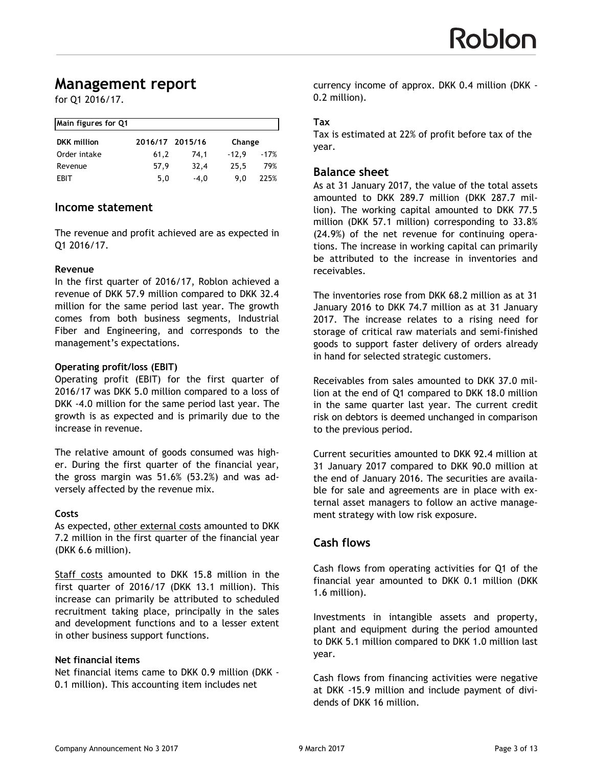# **Management report**

for Q1 2016/17.

| Main figures for Q1 |                 |        |                   |  |
|---------------------|-----------------|--------|-------------------|--|
| <b>DKK</b> million  | 2016/17 2015/16 |        | Change            |  |
| Order intake        | 61.2            | 74.1   | $-12.9$<br>$-17%$ |  |
| Revenue             | 57.9            | 32,4   | 25.5<br>79%       |  |
| <b>FBIT</b>         | 5,0             | $-4.0$ | 225%<br>9.0       |  |

#### **Income statement**

The revenue and profit achieved are as expected in Q1 2016/17.

#### **Revenue**

In the first quarter of 2016/17, Roblon achieved a revenue of DKK 57.9 million compared to DKK 32.4 million for the same period last year. The growth comes from both business segments, Industrial Fiber and Engineering, and corresponds to the management's expectations.

#### **Operating profit/loss (EBIT)**

Operating profit (EBIT) for the first quarter of 2016/17 was DKK 5.0 million compared to a loss of DKK -4.0 million for the same period last year. The growth is as expected and is primarily due to the increase in revenue.

The relative amount of goods consumed was higher. During the first quarter of the financial year, the gross margin was 51.6% (53.2%) and was adversely affected by the revenue mix.

#### **Costs**

As expected, other external costs amounted to DKK 7.2 million in the first quarter of the financial year (DKK 6.6 million).

Staff costs amounted to DKK 15.8 million in the first quarter of 2016/17 (DKK 13.1 million). This increase can primarily be attributed to scheduled recruitment taking place, principally in the sales and development functions and to a lesser extent in other business support functions.

#### **Net financial items**

Net financial items came to DKK 0.9 million (DKK - 0.1 million). This accounting item includes net

currency income of approx. DKK 0.4 million (DKK - 0.2 million).

#### **Tax**

Tax is estimated at 22% of profit before tax of the year.

#### **Balance sheet**

As at 31 January 2017, the value of the total assets amounted to DKK 289.7 million (DKK 287.7 million). The working capital amounted to DKK 77.5 million (DKK 57.1 million) corresponding to 33.8% (24.9%) of the net revenue for continuing operations. The increase in working capital can primarily be attributed to the increase in inventories and receivables.

The inventories rose from DKK 68.2 million as at 31 January 2016 to DKK 74.7 million as at 31 January 2017. The increase relates to a rising need for storage of critical raw materials and semi-finished goods to support faster delivery of orders already in hand for selected strategic customers.

Receivables from sales amounted to DKK 37.0 million at the end of Q1 compared to DKK 18.0 million in the same quarter last year. The current credit risk on debtors is deemed unchanged in comparison to the previous period.

Current securities amounted to DKK 92.4 million at 31 January 2017 compared to DKK 90.0 million at the end of January 2016. The securities are available for sale and agreements are in place with external asset managers to follow an active management strategy with low risk exposure*.* 

## **Cash flows**

Cash flows from operating activities for Q1 of the financial year amounted to DKK 0.1 million (DKK 1.6 million).

Investments in intangible assets and property, plant and equipment during the period amounted to DKK 5.1 million compared to DKK 1.0 million last year.

Cash flows from financing activities were negative at DKK -15.9 million and include payment of dividends of DKK 16 million.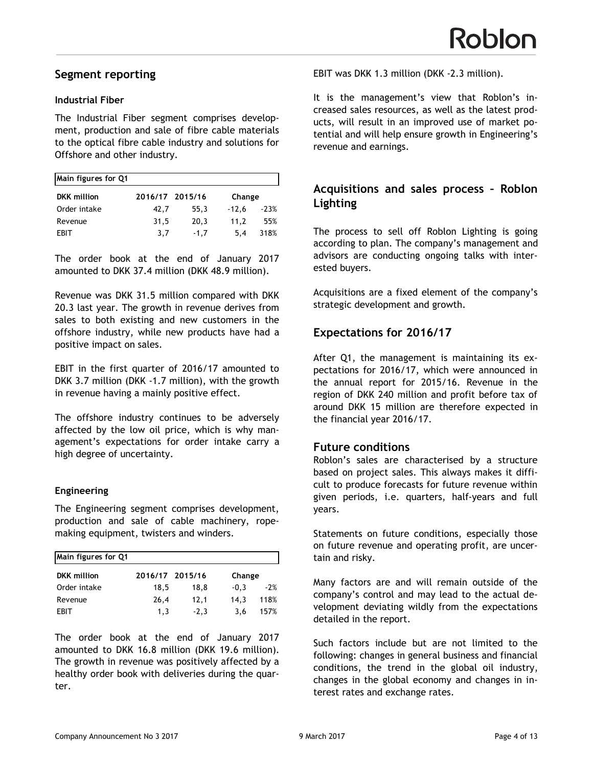## **Segment reporting**

#### **Industrial Fiber**

The Industrial Fiber segment comprises development, production and sale of fibre cable materials to the optical fibre cable industry and solutions for Offshore and other industry.

| Main figures for Q1 |                 |        |         |        |
|---------------------|-----------------|--------|---------|--------|
| <b>DKK</b> million  | 2016/17 2015/16 |        | Change  |        |
| Order intake        | 42.7            | 55.3   | $-12.6$ | $-23%$ |
| Revenue             | 31,5            | 20.3   | 11.2    | 55%    |
| <b>FBIT</b>         | 3.7             | $-1.7$ | 5.4     | 318%   |

The order book at the end of January 2017 amounted to DKK 37.4 million (DKK 48.9 million).

Revenue was DKK 31.5 million compared with DKK 20.3 last year. The growth in revenue derives from sales to both existing and new customers in the offshore industry, while new products have had a positive impact on sales.

EBIT in the first quarter of 2016/17 amounted to DKK 3.7 million (DKK -1.7 million), with the growth in revenue having a mainly positive effect.

The offshore industry continues to be adversely affected by the low oil price, which is why management's expectations for order intake carry a high degree of uncertainty.

#### **Engineering**

The Engineering segment comprises development, production and sale of cable machinery, ropemaking equipment, twisters and winders.

| Main figures for Q1 |                 |        |                 |  |
|---------------------|-----------------|--------|-----------------|--|
| <b>DKK</b> million  | 2016/17 2015/16 |        | Change          |  |
| Order intake        | 18,5            | 18.8   | $-2%$<br>$-0.3$ |  |
| Revenue             | 26,4            | 12.1   | 118%<br>14.3    |  |
| <b>FBIT</b>         | 1.3             | $-2.3$ | 157%<br>3.6     |  |

The order book at the end of January 2017 amounted to DKK 16.8 million (DKK 19.6 million). The growth in revenue was positively affected by a healthy order book with deliveries during the quarter.

EBIT was DKK 1.3 million (DKK -2.3 million).

It is the management's view that Roblon's increased sales resources, as well as the latest products, will result in an improved use of market potential and will help ensure growth in Engineering's revenue and earnings.

#### **Acquisitions and sales process – Roblon Lighting**

The process to sell off Roblon Lighting is going according to plan. The company's management and advisors are conducting ongoing talks with interested buyers.

Acquisitions are a fixed element of the company's strategic development and growth.

## **Expectations for 2016/17**

After Q1, the management is maintaining its expectations for 2016/17, which were announced in the annual report for 2015/16. Revenue in the region of DKK 240 million and profit before tax of around DKK 15 million are therefore expected in the financial year 2016/17.

#### **Future conditions**

Roblon's sales are characterised by a structure based on project sales. This always makes it difficult to produce forecasts for future revenue within given periods, i.e. quarters, half-years and full years.

Statements on future conditions, especially those on future revenue and operating profit, are uncertain and risky.

Many factors are and will remain outside of the company's control and may lead to the actual development deviating wildly from the expectations detailed in the report.

Such factors include but are not limited to the following: changes in general business and financial conditions, the trend in the global oil industry, changes in the global economy and changes in interest rates and exchange rates.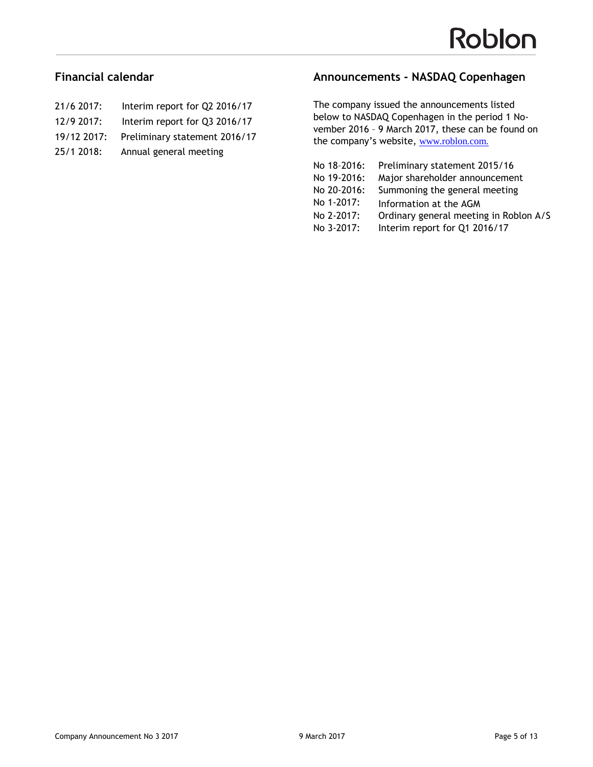## **Financial calendar**

- 21/6 2017: Interim report for Q2 2016/17
- 12/9 2017: Interim report for Q3 2016/17
- 19/12 2017: Preliminary statement 2016/17
- 25/1 2018: Annual general meeting

## **Announcements - NASDAQ Copenhagen**

The company issued the announcements listed below to NASDAQ Copenhagen in the period 1 November 2016 – 9 March 2017, these can be found on the company's website, <www.roblon.com>.

| No 18-2016: | Preliminary statement 2015/16          |
|-------------|----------------------------------------|
| No 19-2016: | Major shareholder announcement         |
| No 20-2016: | Summoning the general meeting          |
| No 1-2017:  | Information at the AGM                 |
| No 2-2017:  | Ordinary general meeting in Roblon A/S |
| No 3-2017:  | Interim report for Q1 2016/17          |
|             |                                        |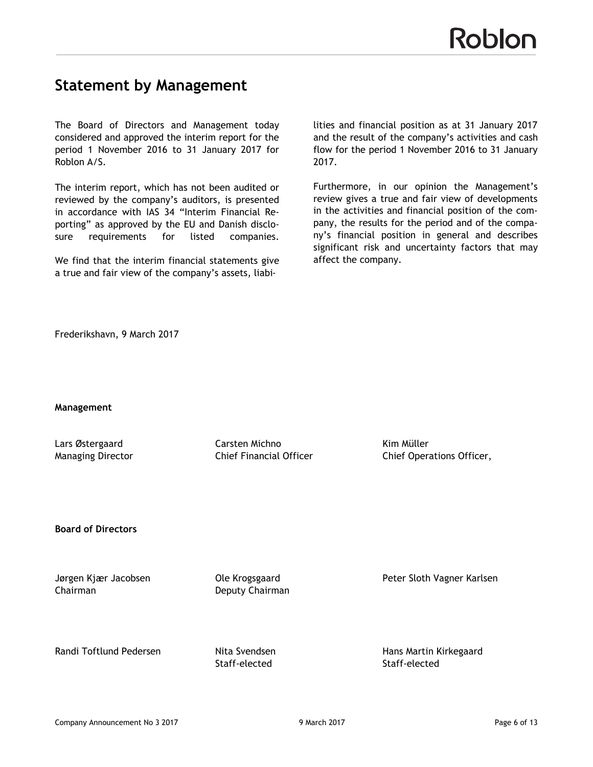# **Statement by Management**

The Board of Directors and Management today considered and approved the interim report for the period 1 November 2016 to 31 January 2017 for Roblon A/S.

The interim report, which has not been audited or reviewed by the company's auditors, is presented in accordance with IAS 34 "Interim Financial Reporting" as approved by the EU and Danish disclosure requirements for listed companies.

We find that the interim financial statements give a true and fair view of the company's assets, liabi-

lities and financial position as at 31 January 2017 and the result of the company's activities and cash flow for the period 1 November 2016 to 31 January 2017.

Furthermore, in our opinion the Management's review gives a true and fair view of developments in the activities and financial position of the company, the results for the period and of the company's financial position in general and describes significant risk and uncertainty factors that may affect the company.

Frederikshavn, 9 March 2017

**Management**

Lars Østergaard Carsten Michno Kim Müller

Managing Director **Chief Financial Officer** Chief Operations Officer,

**Board of Directors**

Chairman Deputy Chairman

Jørgen Kjær Jacobsen Ole Krogsgaard Peter Sloth Vagner Karlsen

Randi Toftlund Pedersen **Nita Svendsen** Hans Martin Kirkegaard

Staff-elected Staff-elected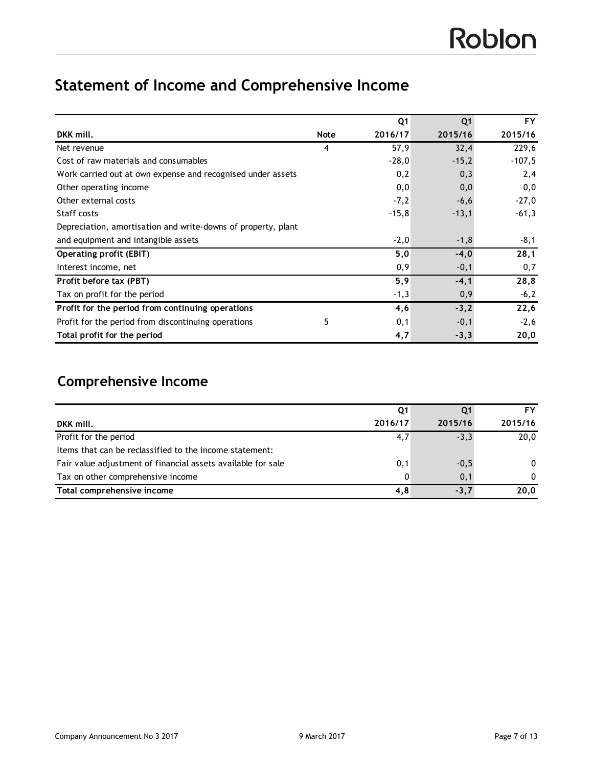# **Statement of Income and Comprehensive Income**

|                                                               |             | Q <sub>1</sub> | Q <sub>1</sub> | <b>FY</b> |
|---------------------------------------------------------------|-------------|----------------|----------------|-----------|
| DKK mill.                                                     | <b>Note</b> | 2016/17        | 2015/16        | 2015/16   |
| Net revenue                                                   | 4           | 57,9           | 32,4           | 229,6     |
| Cost of raw materials and consumables                         |             | $-28,0$        | $-15,2$        | $-107,5$  |
| Work carried out at own expense and recognised under assets   |             | 0,2            | 0,3            | 2,4       |
| Other operating income                                        |             | 0,0            | 0,0            | 0,0       |
| Other external costs                                          |             | $-7,2$         | $-6,6$         | $-27,0$   |
| Staff costs                                                   |             | $-15,8$        | $-13,1$        | $-61,3$   |
| Depreciation, amortisation and write-downs of property, plant |             |                |                |           |
| and equipment and intangible assets                           |             | $-2,0$         | $-1,8$         | $-8,1$    |
| <b>Operating profit (EBIT)</b>                                |             | 5,0            | $-4,0$         | 28,1      |
| Interest income, net                                          |             | 0,9            | $-0,1$         | 0,7       |
| Profit before tax (PBT)                                       |             | 5,9            | $-4,1$         | 28,8      |
| Tax on profit for the period                                  |             | $-1,3$         | 0,9            | $-6,2$    |
| Profit for the period from continuing operations              |             | 4,6            | $-3,2$         | 22,6      |
| Profit for the period from discontinuing operations           | 5           | 0,1            | $-0,1$         | $-2,6$    |
| Total profit for the period                                   |             | 4,7            | $-3,3$         | 20,0      |

# **Comprehensive Income**

|                                                              | Q1      |         | Fν       |
|--------------------------------------------------------------|---------|---------|----------|
| DKK mill.                                                    | 2016/17 | 2015/16 | 2015/16  |
| Profit for the period                                        | 4,7     | $-3.3$  | 20,0     |
| Items that can be reclassified to the income statement:      |         |         |          |
| Fair value adjustment of financial assets available for sale | 0,1     | $-0,5$  | $\Omega$ |
| Tax on other comprehensive income                            | 0       | 0,1     | $\Omega$ |
| Total comprehensive income                                   | 4,8     | $-3.7$  | 20,0     |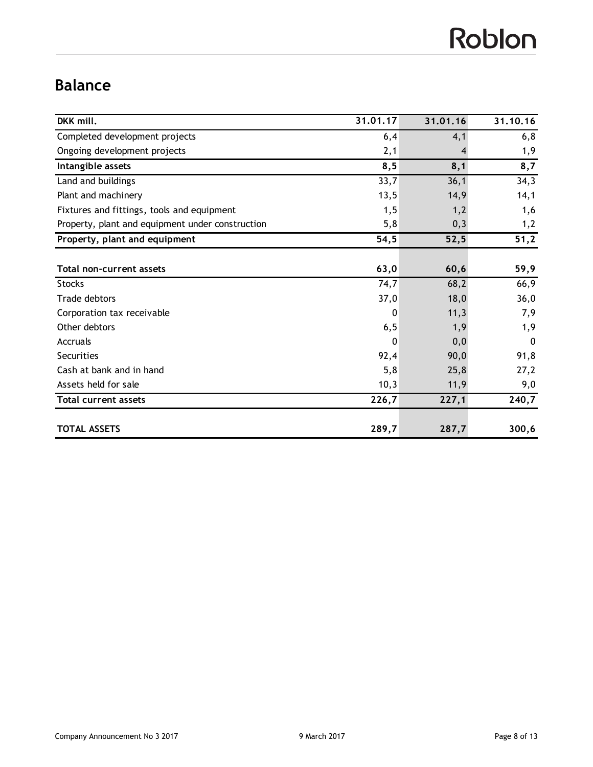# Roblon

# **Balance**

| DKK mill.                                        | 31.01.17 | 31.01.16 | 31.10.16 |
|--------------------------------------------------|----------|----------|----------|
| Completed development projects                   | 6,4      | 4,1      | 6, 8     |
| Ongoing development projects                     | 2,1      |          | 1,9      |
| Intangible assets                                | 8,5      | 8,1      | 8,7      |
| Land and buildings                               | 33,7     | 36,1     | 34,3     |
| Plant and machinery                              | 13,5     | 14,9     | 14,1     |
| Fixtures and fittings, tools and equipment       | 1,5      | 1,2      | 1,6      |
| Property, plant and equipment under construction | 5,8      | 0,3      | 1,2      |
| Property, plant and equipment                    | 54,5     | 52,5     | 51,2     |
|                                                  |          |          |          |
| Total non-current assets                         | 63,0     | 60,6     | 59,9     |
| <b>Stocks</b>                                    | 74,7     | 68,2     | 66,9     |
| Trade debtors                                    | 37,0     | 18,0     | 36,0     |
| Corporation tax receivable                       | 0        | 11,3     | 7,9      |
| Other debtors                                    | 6, 5     | 1,9      | 1,9      |
| Accruals                                         | 0        | 0,0      | 0        |
| Securities                                       | 92,4     | 90,0     | 91,8     |
| Cash at bank and in hand                         | 5,8      | 25,8     | 27,2     |
| Assets held for sale                             | 10,3     | 11,9     | 9,0      |
| <b>Total current assets</b>                      | 226,7    | 227,1    | 240,7    |
| <b>TOTAL ASSETS</b>                              | 289,7    | 287,7    | 300,6    |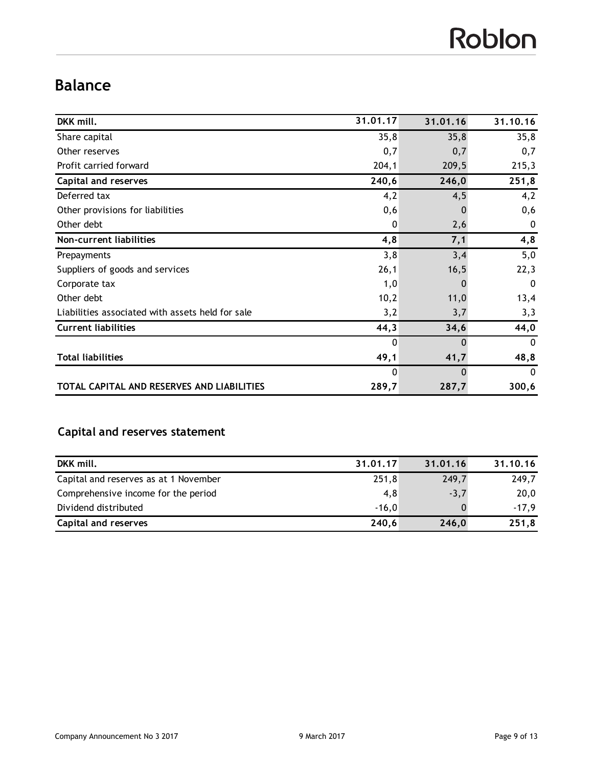# Roblon

# **Balance**

| DKK mill.                                        | 31.01.17     | 31.01.16       | 31.10.16     |
|--------------------------------------------------|--------------|----------------|--------------|
| Share capital                                    | 35,8         | 35,8           | 35,8         |
| Other reserves                                   | 0,7          | 0,7            | 0,7          |
| Profit carried forward                           | 204,1        | 209,5          | 215,3        |
| Capital and reserves                             | 240,6        | 246,0          | 251,8        |
| Deferred tax                                     | 4,2          | 4,5            | 4,2          |
| Other provisions for liabilities                 | 0,6          | $\blacksquare$ | 0,6          |
| Other debt                                       | 0            | 2,6            | 0            |
| Non-current liabilities                          | 4,8          | 7,1            | 4,8          |
| Prepayments                                      | 3,8          | 3,4            | 5,0          |
| Suppliers of goods and services                  | 26,1         | 16,5           | 22,3         |
| Corporate tax                                    | 1,0          |                | 0            |
| Other debt                                       | 10,2         | 11,0           | 13,4         |
| Liabilities associated with assets held for sale | 3,2          | 3,7            | 3,3          |
| <b>Current liabilities</b>                       | 44,3         | 34,6           | 44,0         |
|                                                  | $\mathbf 0$  | 0              | $\mathbf{0}$ |
| <b>Total liabilities</b>                         | 49,1         | 41,7           | 48,8         |
|                                                  | $\mathbf{0}$ | 0              | $\Omega$     |
| TOTAL CAPITAL AND RESERVES AND LIABILITIES       | 289,7        | 287,7          | 300,6        |

## **Capital and reserves statement**

| DKK mill.                             | 31.01.17 | 31.01.16 | 31.10.16 |
|---------------------------------------|----------|----------|----------|
| Capital and reserves as at 1 November | 251,8    | 249,7    | 249,7    |
| Comprehensive income for the period   | 4,8      | $-3,7$   | 20,0     |
| Dividend distributed                  | $-16.0$  |          | $-17.9$  |
| <b>Capital and reserves</b>           | 240,6    | 246,0    | 251,8    |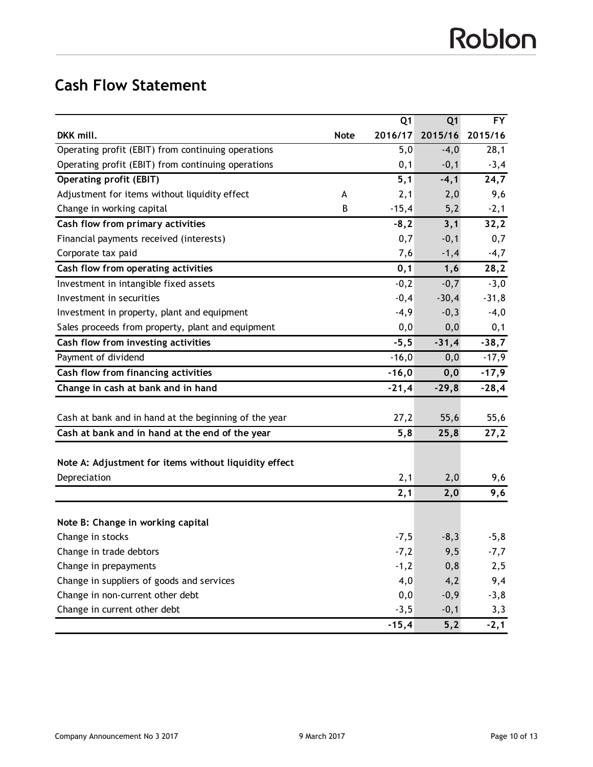# **Cash Flow Statement**

|                                                       |             | Q <sub>1</sub> | Q <sub>1</sub> | <b>FY</b> |
|-------------------------------------------------------|-------------|----------------|----------------|-----------|
| DKK mill.                                             | <b>Note</b> | 2016/17        | 2015/16        | 2015/16   |
| Operating profit (EBIT) from continuing operations    |             | 5,0            | $-4,0$         | 28,1      |
| Operating profit (EBIT) from continuing operations    |             | 0,1            | $-0,1$         | $-3,4$    |
| <b>Operating profit (EBIT)</b>                        |             | 5,1            | $-4,1$         | 24,7      |
| Adjustment for items without liquidity effect         | A           | 2,1            | 2,0            | 9,6       |
| Change in working capital                             | B           | $-15,4$        | 5,2            | $-2,1$    |
| Cash flow from primary activities                     |             | $-8,2$         | 3,1            | 32,2      |
| Financial payments received (interests)               |             | 0,7            | $-0,1$         | 0,7       |
| Corporate tax paid                                    |             | 7,6            | $-1,4$         | $-4,7$    |
| Cash flow from operating activities                   |             | 0,1            | 1,6            | 28,2      |
| Investment in intangible fixed assets                 |             | $-0,2$         | $-0,7$         | $-3,0$    |
| Investment in securities                              |             | $-0,4$         | $-30,4$        | $-31,8$   |
| Investment in property, plant and equipment           |             | $-4,9$         | $-0,3$         | $-4,0$    |
| Sales proceeds from property, plant and equipment     |             | 0,0            | 0,0            | 0,1       |
| Cash flow from investing activities                   |             | $-5,5$         | $-31,4$        | $-38,7$   |
| Payment of dividend                                   |             | $-16,0$        | 0,0            | $-17,9$   |
| Cash flow from financing activities                   |             | $-16,0$        | 0, 0           | $-17,9$   |
| Change in cash at bank and in hand                    |             | $-21,4$        | $-29,8$        | $-28,4$   |
|                                                       |             |                |                |           |
| Cash at bank and in hand at the beginning of the year |             | 27,2           | 55,6           | 55,6      |
| Cash at bank and in hand at the end of the year       |             | 5,8            | 25,8           | 27,2      |
|                                                       |             |                |                |           |
| Note A: Adjustment for items without liquidity effect |             |                |                |           |
| Depreciation                                          |             | 2,1            | 2,0            | 9,6       |
|                                                       |             | 2,1            | 2,0            | 9,6       |
|                                                       |             |                |                |           |
| Note B: Change in working capital                     |             |                |                |           |
| Change in stocks                                      |             | $-7,5$         | $-8,3$         | $-5,8$    |
| Change in trade debtors                               |             | $-7,2$         | 9,5            | $-7,7$    |
| Change in prepayments                                 |             | $-1,2$         | 0,8            | 2,5       |
| Change in suppliers of goods and services             |             | 4,0            | 4,2            | 9,4       |
| Change in non-current other debt                      |             | 0,0            | $-0,9$         | $-3, 8$   |
| Change in current other debt                          |             | $-3,5$         | $-0,1$         | 3,3       |
|                                                       |             | $-15,4$        | 5,2            | $-2,1$    |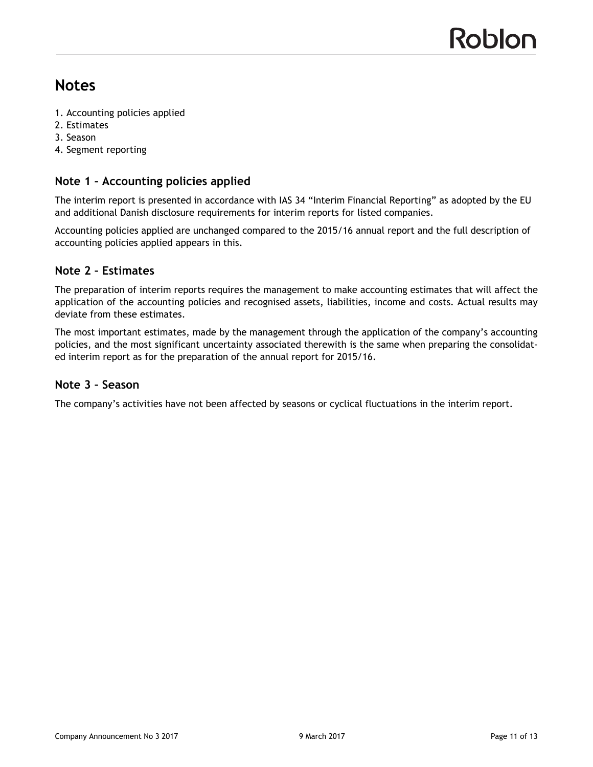# **Notes**

- 1. Accounting policies applied
- 2. Estimates
- 3. Season
- 4. Segment reporting

## **Note 1 – Accounting policies applied**

The interim report is presented in accordance with IAS 34 "Interim Financial Reporting" as adopted by the EU and additional Danish disclosure requirements for interim reports for listed companies.

Accounting policies applied are unchanged compared to the 2015/16 annual report and the full description of accounting policies applied appears in this.

## **Note 2 – Estimates**

The preparation of interim reports requires the management to make accounting estimates that will affect the application of the accounting policies and recognised assets, liabilities, income and costs. Actual results may deviate from these estimates.

The most important estimates, made by the management through the application of the company's accounting policies, and the most significant uncertainty associated therewith is the same when preparing the consolidated interim report as for the preparation of the annual report for 2015/16.

#### **Note 3 – Season**

The company's activities have not been affected by seasons or cyclical fluctuations in the interim report.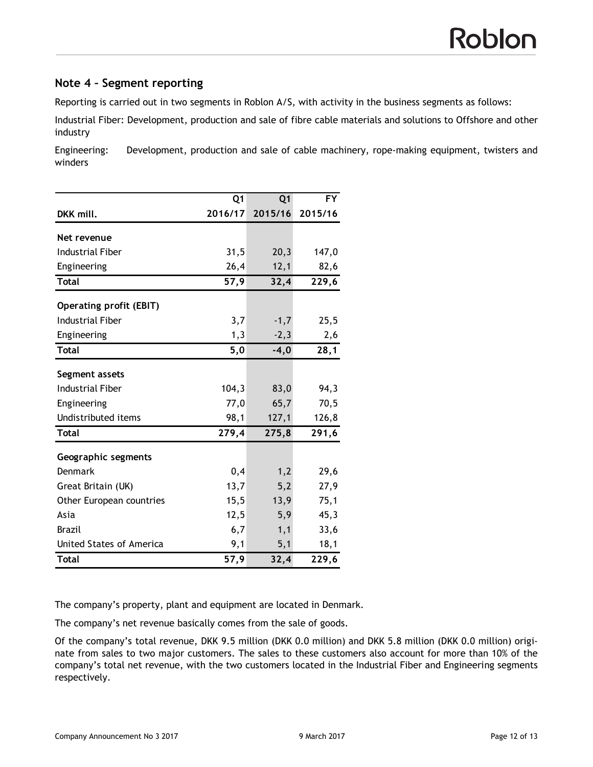## **Note 4 – Segment reporting**

Reporting is carried out in two segments in Roblon A/S, with activity in the business segments as follows:

Industrial Fiber: Development, production and sale of fibre cable materials and solutions to Offshore and other industry

Engineering: Development, production and sale of cable machinery, rope-making equipment, twisters and winders

|                                | Q <sub>1</sub> | Q <sub>1</sub> | <b>FY</b> |
|--------------------------------|----------------|----------------|-----------|
| DKK mill.                      | 2016/17        | 2015/16        | 2015/16   |
| Net revenue                    |                |                |           |
| Industrial Fiber               | 31,5           | 20,3           | 147,0     |
| Engineering                    | 26,4           | 12,1           | 82,6      |
| <b>Total</b>                   | 57,9           | 32,4           | 229,6     |
|                                |                |                |           |
| <b>Operating profit (EBIT)</b> |                |                |           |
| <b>Industrial Fiber</b>        | 3,7            | $-1,7$         | 25,5      |
| Engineering                    | 1,3            | $-2,3$         | 2,6       |
| <b>Total</b>                   | 5,0            | $-4,0$         | 28,1      |
| Segment assets                 |                |                |           |
| <b>Industrial Fiber</b>        | 104,3          | 83,0           | 94,3      |
| Engineering                    | 77,0           | 65,7           | 70,5      |
| Undistributed items            | 98,1           | 127,1          | 126,8     |
| <b>Total</b>                   | 279,4          | 275,8          | 291,6     |
| Geographic segments            |                |                |           |
| Denmark                        | 0,4            | 1,2            | 29,6      |
| Great Britain (UK)             | 13,7           | 5,2            | 27,9      |
| Other European countries       | 15,5           | 13,9           | 75,1      |
| Asia                           | 12,5           | 5,9            | 45,3      |
| Brazil                         | 6,7            | 1,1            | 33,6      |
| United States of America       | 9,1            | 5,1            | 18,1      |
| <b>Total</b>                   | 57,9           | 32,4           | 229,6     |

The company's property, plant and equipment are located in Denmark.

The company's net revenue basically comes from the sale of goods.

Of the company's total revenue, DKK 9.5 million (DKK 0.0 million) and DKK 5.8 million (DKK 0.0 million) originate from sales to two major customers. The sales to these customers also account for more than 10% of the company's total net revenue, with the two customers located in the Industrial Fiber and Engineering segments respectively.